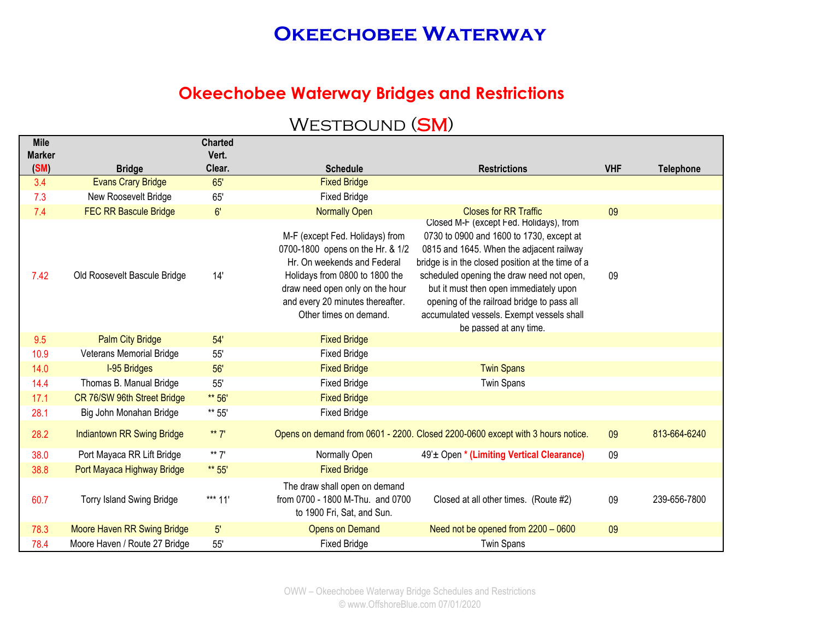### **Okeechobee Waterway Bridges and Restrictions**

| <b>Mile</b>           |                                   | <b>Charted</b>  |                                                                                                                                                                                                                                       |                                                                                                                                                                                                                                                                                                                                                                                                  |            |                  |
|-----------------------|-----------------------------------|-----------------|---------------------------------------------------------------------------------------------------------------------------------------------------------------------------------------------------------------------------------------|--------------------------------------------------------------------------------------------------------------------------------------------------------------------------------------------------------------------------------------------------------------------------------------------------------------------------------------------------------------------------------------------------|------------|------------------|
| <b>Marker</b><br>(SM) | <b>Bridge</b>                     | Vert.<br>Clear. | <b>Schedule</b>                                                                                                                                                                                                                       | <b>Restrictions</b>                                                                                                                                                                                                                                                                                                                                                                              | <b>VHF</b> | <b>Telephone</b> |
| 3.4                   | <b>Evans Crary Bridge</b>         | 65'             | <b>Fixed Bridge</b>                                                                                                                                                                                                                   |                                                                                                                                                                                                                                                                                                                                                                                                  |            |                  |
| 7.3                   | New Roosevelt Bridge              | 65'             | <b>Fixed Bridge</b>                                                                                                                                                                                                                   |                                                                                                                                                                                                                                                                                                                                                                                                  |            |                  |
| 7.4                   | <b>FEC RR Bascule Bridge</b>      | 6'              | <b>Normally Open</b>                                                                                                                                                                                                                  | <b>Closes for RR Traffic</b>                                                                                                                                                                                                                                                                                                                                                                     | 09         |                  |
| 7.42                  | Old Roosevelt Bascule Bridge      | 14'             | M-F (except Fed. Holidays) from<br>0700-1800 opens on the Hr. & 1/2<br>Hr. On weekends and Federal<br>Holidays from 0800 to 1800 the<br>draw need open only on the hour<br>and every 20 minutes thereafter.<br>Other times on demand. | Closed M-F (except Fed. Holidays), from<br>0730 to 0900 and 1600 to 1730, except at<br>0815 and 1645. When the adjacent railway<br>bridge is in the closed position at the time of a<br>scheduled opening the draw need not open,<br>but it must then open immediately upon<br>opening of the railroad bridge to pass all<br>accumulated vessels. Exempt vessels shall<br>be passed at any time. | 09         |                  |
| 9.5                   | <b>Palm City Bridge</b>           | 54'             | <b>Fixed Bridge</b>                                                                                                                                                                                                                   |                                                                                                                                                                                                                                                                                                                                                                                                  |            |                  |
| 10.9                  | Veterans Memorial Bridge          | 55'             | <b>Fixed Bridge</b>                                                                                                                                                                                                                   |                                                                                                                                                                                                                                                                                                                                                                                                  |            |                  |
| 14.0                  | <b>I-95 Bridges</b>               | 56'             | <b>Fixed Bridge</b>                                                                                                                                                                                                                   | <b>Twin Spans</b>                                                                                                                                                                                                                                                                                                                                                                                |            |                  |
| 14.4                  | Thomas B. Manual Bridge           | 55'             | <b>Fixed Bridge</b>                                                                                                                                                                                                                   | <b>Twin Spans</b>                                                                                                                                                                                                                                                                                                                                                                                |            |                  |
| 17.1                  | CR 76/SW 96th Street Bridge       | ** 56'          | <b>Fixed Bridge</b>                                                                                                                                                                                                                   |                                                                                                                                                                                                                                                                                                                                                                                                  |            |                  |
| 28.1                  | Big John Monahan Bridge           | ** 55'          | <b>Fixed Bridge</b>                                                                                                                                                                                                                   |                                                                                                                                                                                                                                                                                                                                                                                                  |            |                  |
| 28.2                  | <b>Indiantown RR Swing Bridge</b> | ** $7'$         |                                                                                                                                                                                                                                       | Opens on demand from 0601 - 2200. Closed 2200-0600 except with 3 hours notice.                                                                                                                                                                                                                                                                                                                   | 09         | 813-664-6240     |
| 38.0                  | Port Mayaca RR Lift Bridge        | ** $7'$         | Normally Open                                                                                                                                                                                                                         | 49' <sup>±</sup> Open * (Limiting Vertical Clearance)                                                                                                                                                                                                                                                                                                                                            | 09         |                  |
| 38.8                  | Port Mayaca Highway Bridge        | ** 55'          | <b>Fixed Bridge</b>                                                                                                                                                                                                                   |                                                                                                                                                                                                                                                                                                                                                                                                  |            |                  |
| 60.7                  | <b>Torry Island Swing Bridge</b>  | *** 11'         | The draw shall open on demand<br>from 0700 - 1800 M-Thu. and 0700<br>to 1900 Fri, Sat, and Sun.                                                                                                                                       | Closed at all other times. (Route #2)                                                                                                                                                                                                                                                                                                                                                            | 09         | 239-656-7800     |
| 78.3                  | Moore Haven RR Swing Bridge       | 5'              | <b>Opens on Demand</b>                                                                                                                                                                                                                | Need not be opened from 2200 - 0600                                                                                                                                                                                                                                                                                                                                                              | 09         |                  |
| 78.4                  | Moore Haven / Route 27 Bridge     | 55'             | <b>Fixed Bridge</b>                                                                                                                                                                                                                   | <b>Twin Spans</b>                                                                                                                                                                                                                                                                                                                                                                                |            |                  |

## WESTBOUND (SM)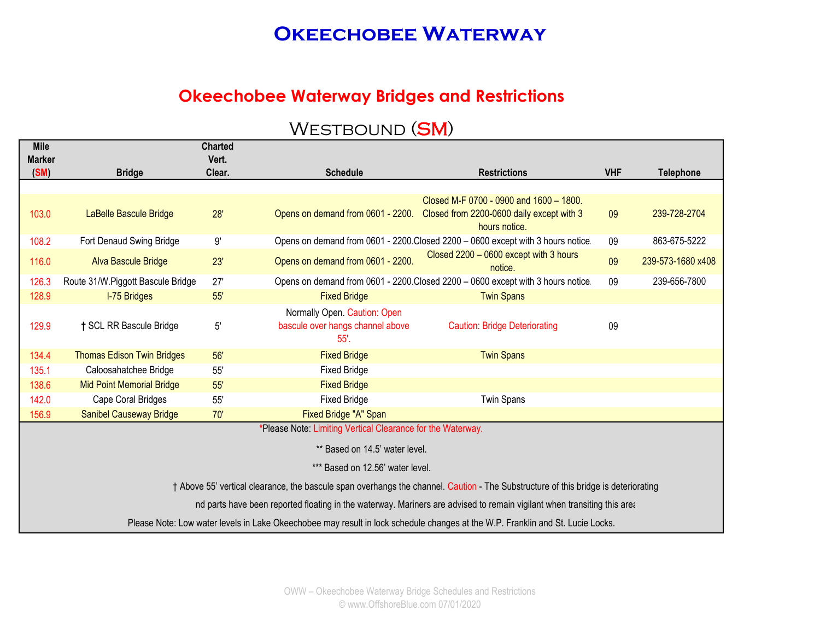## **Okeechobee Waterway Bridges and Restrictions**

| <b>Mile</b>           |                                   | <b>Charted</b>  |                                                             |                                                                                                                                    |            |                   |
|-----------------------|-----------------------------------|-----------------|-------------------------------------------------------------|------------------------------------------------------------------------------------------------------------------------------------|------------|-------------------|
| <b>Marker</b><br>(SM) | <b>Bridge</b>                     | Vert.<br>Clear. | <b>Schedule</b>                                             | <b>Restrictions</b>                                                                                                                | <b>VHF</b> | <b>Telephone</b>  |
|                       |                                   |                 |                                                             |                                                                                                                                    |            |                   |
|                       |                                   |                 |                                                             | Closed M-F 0700 - 0900 and 1600 - 1800.                                                                                            |            |                   |
| 103.0                 | LaBelle Bascule Bridge            | 28'             | Opens on demand from 0601 - 2200.                           | Closed from 2200-0600 daily except with 3                                                                                          | 09         | 239-728-2704      |
|                       |                                   |                 |                                                             | hours notice.                                                                                                                      |            |                   |
| 108.2                 | Fort Denaud Swing Bridge          | $9^\circ$       |                                                             | Opens on demand from 0601 - 2200. Closed 2200 - 0600 except with 3 hours notice.                                                   | 09         | 863-675-5222      |
| 116.0                 | <b>Alva Bascule Bridge</b>        | 23'             | Opens on demand from 0601 - 2200.                           | Closed 2200 - 0600 except with 3 hours<br>notice.                                                                                  | 09         | 239-573-1680 x408 |
| 126.3                 | Route 31/W.Piggott Bascule Bridge | 27'             |                                                             | Opens on demand from 0601 - 2200. Closed 2200 - 0600 except with 3 hours notice.                                                   | 09         | 239-656-7800      |
| 128.9                 | <b>I-75 Bridges</b>               | 55'             | <b>Fixed Bridge</b>                                         | <b>Twin Spans</b>                                                                                                                  |            |                   |
|                       |                                   |                 | Normally Open. Caution: Open                                |                                                                                                                                    |            |                   |
| 129.9                 | † SCL RR Bascule Bridge           | $5^{\circ}$     | bascule over hangs channel above                            | <b>Caution: Bridge Deteriorating</b>                                                                                               | 09         |                   |
|                       |                                   |                 | 55'.                                                        |                                                                                                                                    |            |                   |
| 134.4                 | <b>Thomas Edison Twin Bridges</b> | 56'             | <b>Fixed Bridge</b>                                         | <b>Twin Spans</b>                                                                                                                  |            |                   |
| 135.1                 | Caloosahatchee Bridge             | 55'             | <b>Fixed Bridge</b>                                         |                                                                                                                                    |            |                   |
| 138.6                 | <b>Mid Point Memorial Bridge</b>  | 55'             | <b>Fixed Bridge</b>                                         |                                                                                                                                    |            |                   |
| 142.0                 | Cape Coral Bridges                | 55'             | <b>Fixed Bridge</b>                                         | <b>Twin Spans</b>                                                                                                                  |            |                   |
| 156.9                 | <b>Sanibel Causeway Bridge</b>    | 70'             | Fixed Bridge "A" Span                                       |                                                                                                                                    |            |                   |
|                       |                                   |                 | *Please Note: Limiting Vertical Clearance for the Waterway. |                                                                                                                                    |            |                   |
|                       |                                   |                 | ** Based on 14.5' water level.                              |                                                                                                                                    |            |                   |
|                       |                                   |                 | *** Based on 12.56' water level.                            |                                                                                                                                    |            |                   |
|                       |                                   |                 |                                                             | † Above 55' vertical clearance, the bascule span overhangs the channel. Caution - The Substructure of this bridge is deteriorating |            |                   |
|                       |                                   |                 |                                                             | nd parts have been reported floating in the waterway. Mariners are advised to remain vigilant when transiting this area            |            |                   |
|                       |                                   |                 |                                                             | Please Note: Low water levels in Lake Okeechobee may result in lock schedule changes at the W.P. Franklin and St. Lucie Locks.     |            |                   |

# WESTBOUND (SM)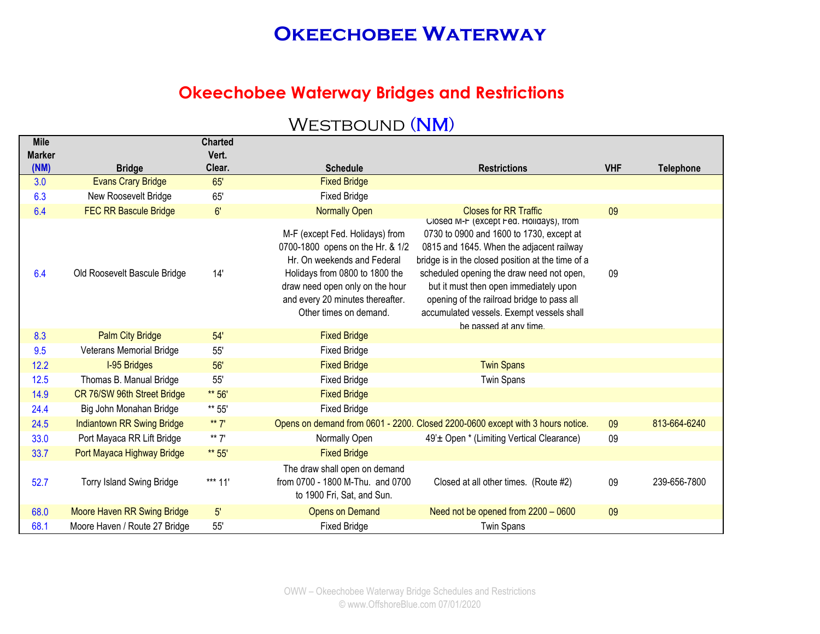### **Okeechobee Waterway Bridges and Restrictions**

| <b>Mile</b> |                                   | <b>Charted</b> |                                                                                                                                 |                                                                                                                                                                                                          |            |                  |
|-------------|-----------------------------------|----------------|---------------------------------------------------------------------------------------------------------------------------------|----------------------------------------------------------------------------------------------------------------------------------------------------------------------------------------------------------|------------|------------------|
| Marker      |                                   | Vert.          |                                                                                                                                 |                                                                                                                                                                                                          |            |                  |
| (NM)        | <b>Bridge</b>                     | Clear.         | <b>Schedule</b>                                                                                                                 | <b>Restrictions</b>                                                                                                                                                                                      | <b>VHF</b> | <b>Telephone</b> |
| 3.0         | <b>Evans Crary Bridge</b>         | 65'            | <b>Fixed Bridge</b>                                                                                                             |                                                                                                                                                                                                          |            |                  |
| 6.3         | New Roosevelt Bridge              | 65'            | <b>Fixed Bridge</b>                                                                                                             |                                                                                                                                                                                                          |            |                  |
| 6.4         | <b>FEC RR Bascule Bridge</b>      | 6'             | <b>Normally Open</b><br>M-F (except Fed. Holidays) from                                                                         | <b>Closes for RR Traffic</b><br>Closed M-F (except Fed. Holidays), from<br>0730 to 0900 and 1600 to 1730, except at                                                                                      | 09         |                  |
|             |                                   |                | 0700-1800 opens on the Hr. & 1/2<br>Hr. On weekends and Federal                                                                 | 0815 and 1645. When the adjacent railway<br>bridge is in the closed position at the time of a                                                                                                            |            |                  |
| 6.4         | Old Roosevelt Bascule Bridge      | 14'            | Holidays from 0800 to 1800 the<br>draw need open only on the hour<br>and every 20 minutes thereafter.<br>Other times on demand. | scheduled opening the draw need not open,<br>but it must then open immediately upon<br>opening of the railroad bridge to pass all<br>accumulated vessels. Exempt vessels shall<br>be passed at any time. | 09         |                  |
| 8.3         | <b>Palm City Bridge</b>           | 54'            | <b>Fixed Bridge</b>                                                                                                             |                                                                                                                                                                                                          |            |                  |
| 9.5         | <b>Veterans Memorial Bridge</b>   | 55'            | <b>Fixed Bridge</b>                                                                                                             |                                                                                                                                                                                                          |            |                  |
| 12.2        | <b>I-95 Bridges</b>               | 56'            | <b>Fixed Bridge</b>                                                                                                             | <b>Twin Spans</b>                                                                                                                                                                                        |            |                  |
| 12.5        | Thomas B. Manual Bridge           | 55'            | <b>Fixed Bridge</b>                                                                                                             | <b>Twin Spans</b>                                                                                                                                                                                        |            |                  |
| 14.9        | CR 76/SW 96th Street Bridge       | ** 56'         | <b>Fixed Bridge</b>                                                                                                             |                                                                                                                                                                                                          |            |                  |
| 24.4        | Big John Monahan Bridge           | ** 55'         | <b>Fixed Bridge</b>                                                                                                             |                                                                                                                                                                                                          |            |                  |
| 24.5        | <b>Indiantown RR Swing Bridge</b> | ** $7'$        |                                                                                                                                 | Opens on demand from 0601 - 2200. Closed 2200-0600 except with 3 hours notice.                                                                                                                           | 09         | 813-664-6240     |
| 33.0        | Port Mayaca RR Lift Bridge        | ** $7'$        | Normally Open                                                                                                                   | 49'± Open * (Limiting Vertical Clearance)                                                                                                                                                                | 09         |                  |
| 33.7        | Port Mayaca Highway Bridge        | ** 55'         | <b>Fixed Bridge</b>                                                                                                             |                                                                                                                                                                                                          |            |                  |
| 52.7        | <b>Torry Island Swing Bridge</b>  | *** 11'        | The draw shall open on demand<br>from 0700 - 1800 M-Thu. and 0700<br>to 1900 Fri, Sat, and Sun.                                 | Closed at all other times. (Route #2)                                                                                                                                                                    | 09         | 239-656-7800     |
| 68.0        | Moore Haven RR Swing Bridge       | 5'             | <b>Opens on Demand</b>                                                                                                          | Need not be opened from 2200 - 0600                                                                                                                                                                      | 09         |                  |
| 68.1        | Moore Haven / Route 27 Bridge     | 55'            | <b>Fixed Bridge</b>                                                                                                             | <b>Twin Spans</b>                                                                                                                                                                                        |            |                  |

## WESTBOUND (NM)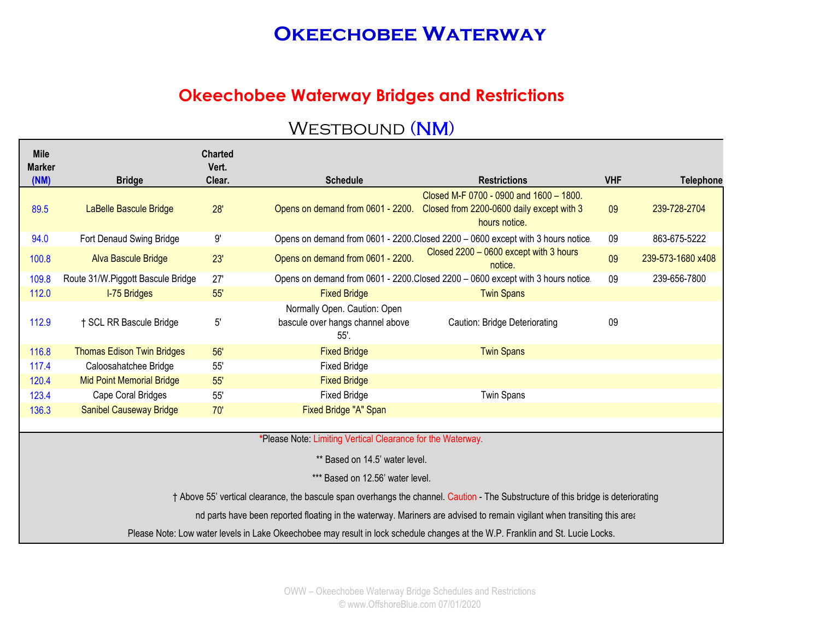### **Okeechobee Waterway Bridges and Restrictions**

| <b>Mile</b><br><b>Marker</b> |                                   | <b>Charted</b><br>Vert. |                                                                          |                                                                                                                                    |            |                   |
|------------------------------|-----------------------------------|-------------------------|--------------------------------------------------------------------------|------------------------------------------------------------------------------------------------------------------------------------|------------|-------------------|
| (NM)                         | <b>Bridge</b>                     | Clear.                  | <b>Schedule</b>                                                          | <b>Restrictions</b>                                                                                                                | <b>VHF</b> | <b>Telephone</b>  |
| 89.5                         | LaBelle Bascule Bridge            | 28'                     | Opens on demand from 0601 - 2200.                                        | Closed M-F 0700 - 0900 and 1600 - 1800.<br>Closed from 2200-0600 daily except with 3<br>hours notice.                              | 09         | 239-728-2704      |
| 94.0                         | Fort Denaud Swing Bridge          | $9^\circ$               |                                                                          | Opens on demand from 0601 - 2200. Closed 2200 - 0600 except with 3 hours notice.                                                   | 09         | 863-675-5222      |
| 100.8                        | Alva Bascule Bridge               | 23'                     | Opens on demand from 0601 - 2200.                                        | Closed 2200 - 0600 except with 3 hours<br>notice.                                                                                  | 09         | 239-573-1680 x408 |
| 109.8                        | Route 31/W.Piggott Bascule Bridge | 27'                     |                                                                          | Opens on demand from 0601 - 2200. Closed 2200 - 0600 except with 3 hours notice.                                                   | 09         | 239-656-7800      |
| 112.0                        | I-75 Bridges                      | 55'                     | <b>Fixed Bridge</b>                                                      | <b>Twin Spans</b>                                                                                                                  |            |                   |
| 112.9                        | † SCL RR Bascule Bridge           | 5'                      | Normally Open. Caution: Open<br>bascule over hangs channel above<br>55'. | Caution: Bridge Deteriorating                                                                                                      | 09         |                   |
| 116.8                        | <b>Thomas Edison Twin Bridges</b> | 56'                     | <b>Fixed Bridge</b>                                                      | <b>Twin Spans</b>                                                                                                                  |            |                   |
| 117.4                        | Caloosahatchee Bridge             | 55'                     | <b>Fixed Bridge</b>                                                      |                                                                                                                                    |            |                   |
| 120.4                        | <b>Mid Point Memorial Bridge</b>  | 55'                     | <b>Fixed Bridge</b>                                                      |                                                                                                                                    |            |                   |
| 123.4                        | Cape Coral Bridges                | 55'                     | <b>Fixed Bridge</b>                                                      | <b>Twin Spans</b>                                                                                                                  |            |                   |
| 136.3                        | <b>Sanibel Causeway Bridge</b>    | 70'                     | Fixed Bridge "A" Span                                                    |                                                                                                                                    |            |                   |
|                              |                                   |                         |                                                                          |                                                                                                                                    |            |                   |
|                              |                                   |                         | *Please Note: Limiting Vertical Clearance for the Waterway.              |                                                                                                                                    |            |                   |
|                              |                                   |                         | ** Based on 14.5' water level.                                           |                                                                                                                                    |            |                   |
|                              |                                   |                         | *** Based on 12.56' water level.                                         |                                                                                                                                    |            |                   |
|                              |                                   |                         |                                                                          | † Above 55' vertical clearance, the bascule span overhangs the channel. Caution - The Substructure of this bridge is deteriorating |            |                   |
|                              |                                   |                         |                                                                          | nd parts have been reported floating in the waterway. Mariners are advised to remain vigilant when transiting this area            |            |                   |
|                              |                                   |                         |                                                                          | Please Note: Low water levels in Lake Okeechobee may result in lock schedule changes at the W.P. Franklin and St. Lucie Locks.     |            |                   |

## WESTBOUND (NM)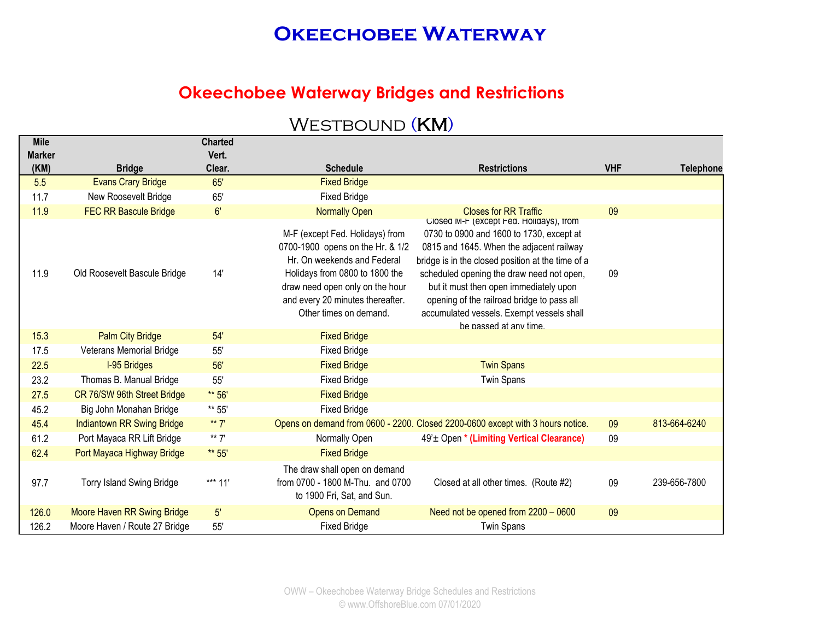### **Okeechobee Waterway Bridges and Restrictions**

| <b>Mile</b>   |                                   | <b>Charted</b> |                                                                                                                                                                                                                                       |                                                                                                                                                                                                                                                                                                                                                                                                  |            |                  |
|---------------|-----------------------------------|----------------|---------------------------------------------------------------------------------------------------------------------------------------------------------------------------------------------------------------------------------------|--------------------------------------------------------------------------------------------------------------------------------------------------------------------------------------------------------------------------------------------------------------------------------------------------------------------------------------------------------------------------------------------------|------------|------------------|
| <b>Marker</b> |                                   | Vert.          |                                                                                                                                                                                                                                       |                                                                                                                                                                                                                                                                                                                                                                                                  |            |                  |
| (KM)          | <b>Bridge</b>                     | Clear.         | <b>Schedule</b>                                                                                                                                                                                                                       | <b>Restrictions</b>                                                                                                                                                                                                                                                                                                                                                                              | <b>VHF</b> | <b>Telephone</b> |
| 5.5           | <b>Evans Crary Bridge</b>         | 65'            | <b>Fixed Bridge</b>                                                                                                                                                                                                                   |                                                                                                                                                                                                                                                                                                                                                                                                  |            |                  |
| 11.7          | New Roosevelt Bridge              | 65'            | <b>Fixed Bridge</b>                                                                                                                                                                                                                   |                                                                                                                                                                                                                                                                                                                                                                                                  |            |                  |
| 11.9          | <b>FEC RR Bascule Bridge</b>      | 6'             | <b>Normally Open</b>                                                                                                                                                                                                                  | <b>Closes for RR Traffic</b>                                                                                                                                                                                                                                                                                                                                                                     | 09         |                  |
| 11.9          | Old Roosevelt Bascule Bridge      | 14'            | M-F (except Fed. Holidays) from<br>0700-1900 opens on the Hr. & 1/2<br>Hr. On weekends and Federal<br>Holidays from 0800 to 1800 the<br>draw need open only on the hour<br>and every 20 minutes thereafter.<br>Other times on demand. | Closed M-F (except Fed. Holidays), from<br>0730 to 0900 and 1600 to 1730, except at<br>0815 and 1645. When the adjacent railway<br>bridge is in the closed position at the time of a<br>scheduled opening the draw need not open,<br>but it must then open immediately upon<br>opening of the railroad bridge to pass all<br>accumulated vessels. Exempt vessels shall<br>be passed at any time. | 09         |                  |
| 15.3          | <b>Palm City Bridge</b>           | 54'            | <b>Fixed Bridge</b>                                                                                                                                                                                                                   |                                                                                                                                                                                                                                                                                                                                                                                                  |            |                  |
| 17.5          | <b>Veterans Memorial Bridge</b>   | 55'            | <b>Fixed Bridge</b>                                                                                                                                                                                                                   |                                                                                                                                                                                                                                                                                                                                                                                                  |            |                  |
| 22.5          | <b>I-95 Bridges</b>               | 56'            | <b>Fixed Bridge</b>                                                                                                                                                                                                                   | <b>Twin Spans</b>                                                                                                                                                                                                                                                                                                                                                                                |            |                  |
| 23.2          | Thomas B. Manual Bridge           | 55'            | <b>Fixed Bridge</b>                                                                                                                                                                                                                   | <b>Twin Spans</b>                                                                                                                                                                                                                                                                                                                                                                                |            |                  |
| 27.5          | CR 76/SW 96th Street Bridge       | ** 56'         | <b>Fixed Bridge</b>                                                                                                                                                                                                                   |                                                                                                                                                                                                                                                                                                                                                                                                  |            |                  |
| 45.2          | Big John Monahan Bridge           | ** 55'         | <b>Fixed Bridge</b>                                                                                                                                                                                                                   |                                                                                                                                                                                                                                                                                                                                                                                                  |            |                  |
| 45.4          | <b>Indiantown RR Swing Bridge</b> | ** $7'$        |                                                                                                                                                                                                                                       | Opens on demand from 0600 - 2200. Closed 2200-0600 except with 3 hours notice.                                                                                                                                                                                                                                                                                                                   | 09         | 813-664-6240     |
| 61.2          | Port Mayaca RR Lift Bridge        | ** $7'$        | Normally Open                                                                                                                                                                                                                         | 49' <sup>±</sup> Open * (Limiting Vertical Clearance)                                                                                                                                                                                                                                                                                                                                            | 09         |                  |
| 62.4          | Port Mayaca Highway Bridge        | ** 55'         | <b>Fixed Bridge</b>                                                                                                                                                                                                                   |                                                                                                                                                                                                                                                                                                                                                                                                  |            |                  |
| 97.7          | <b>Torry Island Swing Bridge</b>  | *** 11'        | The draw shall open on demand<br>from 0700 - 1800 M-Thu. and 0700<br>to 1900 Fri, Sat, and Sun.                                                                                                                                       | Closed at all other times. (Route #2)                                                                                                                                                                                                                                                                                                                                                            | 09         | 239-656-7800     |
| 126.0         | Moore Haven RR Swing Bridge       | 5'             | <b>Opens on Demand</b>                                                                                                                                                                                                                | Need not be opened from 2200 - 0600                                                                                                                                                                                                                                                                                                                                                              | 09         |                  |
| 126.2         | Moore Haven / Route 27 Bridge     | 55'            | <b>Fixed Bridge</b>                                                                                                                                                                                                                   | <b>Twin Spans</b>                                                                                                                                                                                                                                                                                                                                                                                |            |                  |

## WESTBOUND (KM)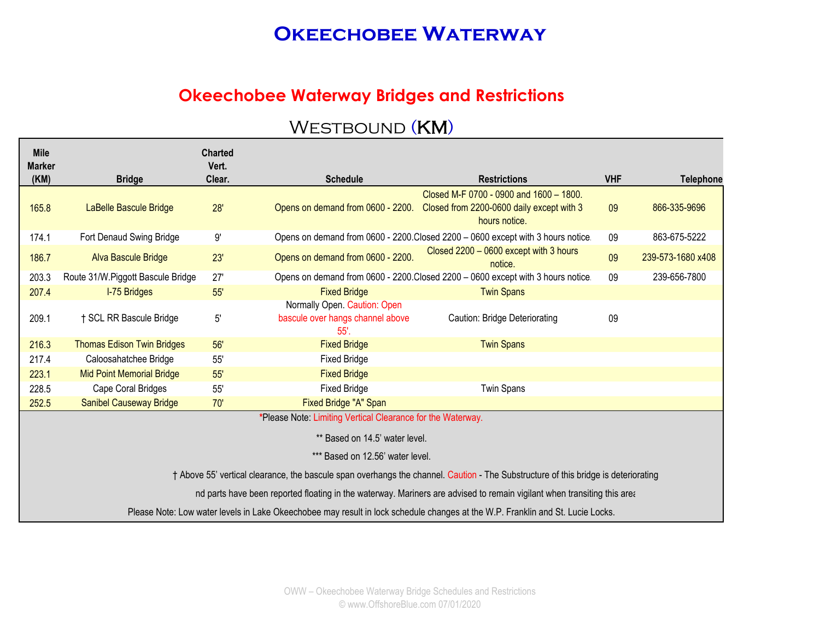### **Okeechobee Waterway Bridges and Restrictions**

#### WESTBOUND (KM)

| <b>Mile</b>   |                                   | <b>Charted</b> |                                                                             |                                                                                                                                    |            |                   |
|---------------|-----------------------------------|----------------|-----------------------------------------------------------------------------|------------------------------------------------------------------------------------------------------------------------------------|------------|-------------------|
| <b>Marker</b> |                                   | Vert.          |                                                                             |                                                                                                                                    |            |                   |
| (KM)          | <b>Bridge</b>                     | Clear.         | <b>Schedule</b>                                                             | <b>Restrictions</b>                                                                                                                | <b>VHF</b> | <b>Telephone</b>  |
| 165.8         | LaBelle Bascule Bridge            | 28'            | Opens on demand from 0600 - 2200.                                           | Closed M-F 0700 - 0900 and 1600 - 1800.<br>Closed from 2200-0600 daily except with 3<br>hours notice.                              | 09         | 866-335-9696      |
| 174.1         | Fort Denaud Swing Bridge          | 9'             |                                                                             | Opens on demand from 0600 - 2200. Closed 2200 - 0600 except with 3 hours notice.                                                   | 09         | 863-675-5222      |
| 186.7         | Alva Bascule Bridge               | 23'            | Opens on demand from 0600 - 2200.                                           | Closed 2200 - 0600 except with 3 hours<br>notice.                                                                                  | 09         | 239-573-1680 x408 |
| 203.3         | Route 31/W.Piggott Bascule Bridge | 27'            |                                                                             | Opens on demand from 0600 - 2200. Closed 2200 - 0600 except with 3 hours notice.                                                   | 09         | 239-656-7800      |
| 207.4         | <b>I-75 Bridges</b>               | 55'            | <b>Fixed Bridge</b>                                                         | <b>Twin Spans</b>                                                                                                                  |            |                   |
| 209.1         | † SCL RR Bascule Bridge           | $5^{\circ}$    | Normally Open. Caution: Open<br>bascule over hangs channel above<br>$55'$ . | Caution: Bridge Deteriorating                                                                                                      | 09         |                   |
| 216.3         | <b>Thomas Edison Twin Bridges</b> | 56'            | <b>Fixed Bridge</b>                                                         | <b>Twin Spans</b>                                                                                                                  |            |                   |
| 217.4         | Caloosahatchee Bridge             | 55'            | <b>Fixed Bridge</b>                                                         |                                                                                                                                    |            |                   |
| 223.1         | <b>Mid Point Memorial Bridge</b>  | 55'            | <b>Fixed Bridge</b>                                                         |                                                                                                                                    |            |                   |
| 228.5         | Cape Coral Bridges                | 55'            | <b>Fixed Bridge</b>                                                         | <b>Twin Spans</b>                                                                                                                  |            |                   |
| 252.5         | <b>Sanibel Causeway Bridge</b>    | 70'            | Fixed Bridge "A" Span                                                       |                                                                                                                                    |            |                   |
|               |                                   |                | *Please Note: Limiting Vertical Clearance for the Waterway.                 |                                                                                                                                    |            |                   |
|               |                                   |                | ** Based on 14.5' water level.                                              |                                                                                                                                    |            |                   |
|               |                                   |                | *** Based on 12.56' water level.                                            |                                                                                                                                    |            |                   |
|               |                                   |                |                                                                             | † Above 55' vertical clearance, the bascule span overhangs the channel. Caution - The Substructure of this bridge is deteriorating |            |                   |
|               |                                   |                |                                                                             | nd parts have been reported floating in the waterway. Mariners are advised to remain vigilant when transiting this area            |            |                   |
|               |                                   |                |                                                                             | Please Note: Low water levels in Lake Okeechobee may result in lock schedule changes at the W.P. Franklin and St. Lucie Locks.     |            |                   |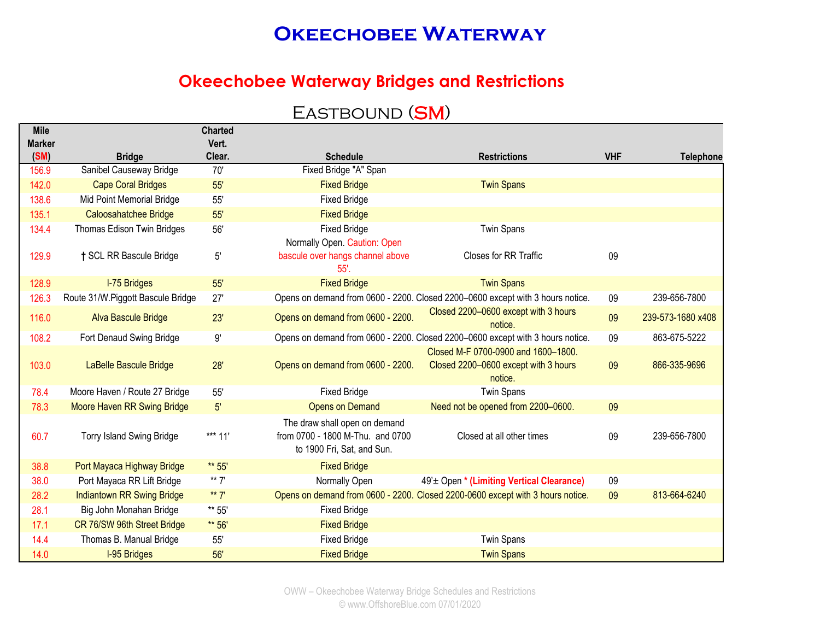#### **Okeechobee Waterway Bridges and Restrictions**

## EASTBOUND (SM)

| <b>Mile</b>   |                                   | <b>Charted</b> |                                                                                                 |                                                                                        |            |                   |
|---------------|-----------------------------------|----------------|-------------------------------------------------------------------------------------------------|----------------------------------------------------------------------------------------|------------|-------------------|
| <b>Marker</b> |                                   | Vert.          |                                                                                                 |                                                                                        |            |                   |
| (SM)          | <b>Bridge</b>                     | Clear.         | <b>Schedule</b>                                                                                 | <b>Restrictions</b>                                                                    | <b>VHF</b> | <b>Telephone</b>  |
| 156.9         | Sanibel Causeway Bridge           | 70'            | Fixed Bridge "A" Span                                                                           |                                                                                        |            |                   |
| 142.0         | <b>Cape Coral Bridges</b>         | 55'            | <b>Fixed Bridge</b>                                                                             | <b>Twin Spans</b>                                                                      |            |                   |
| 138.6         | Mid Point Memorial Bridge         | 55'            | <b>Fixed Bridge</b>                                                                             |                                                                                        |            |                   |
| 135.1         | Caloosahatchee Bridge             | 55'            | <b>Fixed Bridge</b>                                                                             |                                                                                        |            |                   |
| 134.4         | Thomas Edison Twin Bridges        | 56'            | <b>Fixed Bridge</b>                                                                             | <b>Twin Spans</b>                                                                      |            |                   |
|               |                                   |                | Normally Open. Caution: Open                                                                    |                                                                                        |            |                   |
| 129.9         | † SCL RR Bascule Bridge           | 5'             | bascule over hangs channel above<br>55'.                                                        | Closes for RR Traffic                                                                  | 09         |                   |
| 128.9         | <b>I-75 Bridges</b>               | 55'            | <b>Fixed Bridge</b>                                                                             | <b>Twin Spans</b>                                                                      |            |                   |
| 126.3         | Route 31/W.Piggott Bascule Bridge | 27'            |                                                                                                 | Opens on demand from 0600 - 2200. Closed 2200-0600 except with 3 hours notice.         | 09         | 239-656-7800      |
| 116.0         | Alva Bascule Bridge               | 23'            | Opens on demand from 0600 - 2200.                                                               | Closed 2200-0600 except with 3 hours<br>notice.                                        | 09         | 239-573-1680 x408 |
| 108.2         | Fort Denaud Swing Bridge          | 9'             |                                                                                                 | Opens on demand from 0600 - 2200. Closed 2200-0600 except with 3 hours notice.         | 09         | 863-675-5222      |
| 103.0         | LaBelle Bascule Bridge            | 28'            | Opens on demand from 0600 - 2200.                                                               | Closed M-F 0700-0900 and 1600-1800.<br>Closed 2200-0600 except with 3 hours<br>notice. | 09         | 866-335-9696      |
| 78.4          | Moore Haven / Route 27 Bridge     | 55'            | <b>Fixed Bridge</b>                                                                             | <b>Twin Spans</b>                                                                      |            |                   |
| 78.3          | Moore Haven RR Swing Bridge       | $5^{\prime}$   | <b>Opens on Demand</b>                                                                          | Need not be opened from 2200-0600.                                                     | 09         |                   |
| 60.7          | <b>Torry Island Swing Bridge</b>  | *** 11'        | The draw shall open on demand<br>from 0700 - 1800 M-Thu. and 0700<br>to 1900 Fri, Sat, and Sun. | Closed at all other times                                                              | 09         | 239-656-7800      |
| 38.8          | Port Mayaca Highway Bridge        | ** 55'         | <b>Fixed Bridge</b>                                                                             |                                                                                        |            |                   |
| 38.0          | Port Mayaca RR Lift Bridge        | ** $7'$        | Normally Open                                                                                   | 49' <sup>±</sup> Open * (Limiting Vertical Clearance)                                  | 09         |                   |
| 28.2          | <b>Indiantown RR Swing Bridge</b> | ** $7'$        |                                                                                                 | Opens on demand from 0600 - 2200. Closed 2200-0600 except with 3 hours notice.         | 09         | 813-664-6240      |
| 28.1          | Big John Monahan Bridge           | ** 55'         | <b>Fixed Bridge</b>                                                                             |                                                                                        |            |                   |
| 17.1          | CR 76/SW 96th Street Bridge       | ** 56'         | <b>Fixed Bridge</b>                                                                             |                                                                                        |            |                   |
| 14.4          | Thomas B. Manual Bridge           | 55'            | <b>Fixed Bridge</b>                                                                             | <b>Twin Spans</b>                                                                      |            |                   |
| 14.0          | <b>I-95 Bridges</b>               | 56'            | <b>Fixed Bridge</b>                                                                             | <b>Twin Spans</b>                                                                      |            |                   |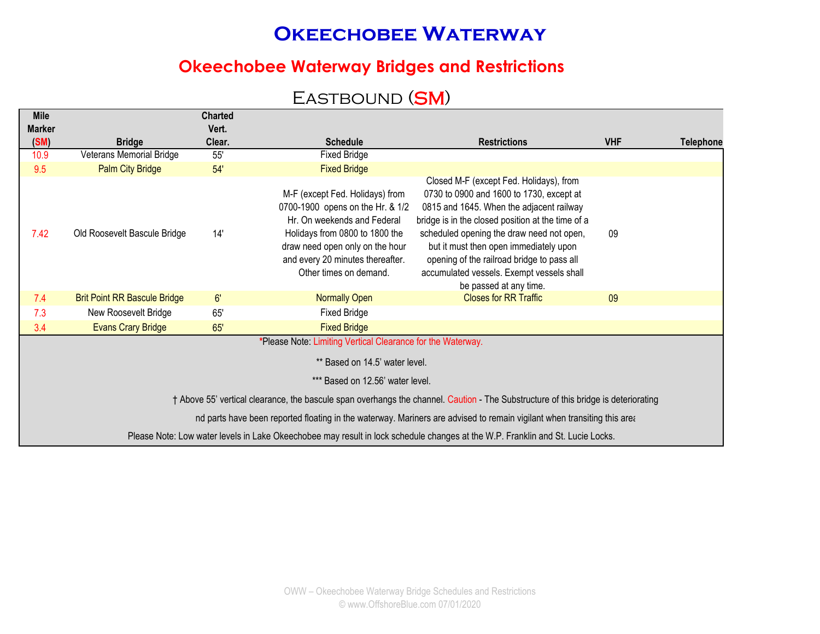### **Okeechobee Waterway Bridges and Restrictions**

### EASTBOUND (SM)

| <b>Mile</b>                                                                                                                       |                                     | <b>Charted</b> |                                                                                                                                                                                                                                       |                                                                                                                                                                                                                                                                                                                                                                                                  |            |                  |  |  |
|-----------------------------------------------------------------------------------------------------------------------------------|-------------------------------------|----------------|---------------------------------------------------------------------------------------------------------------------------------------------------------------------------------------------------------------------------------------|--------------------------------------------------------------------------------------------------------------------------------------------------------------------------------------------------------------------------------------------------------------------------------------------------------------------------------------------------------------------------------------------------|------------|------------------|--|--|
| <b>Marker</b>                                                                                                                     |                                     | Vert.          |                                                                                                                                                                                                                                       |                                                                                                                                                                                                                                                                                                                                                                                                  |            |                  |  |  |
| (SM)                                                                                                                              | <b>Bridge</b>                       | Clear.         | <b>Schedule</b>                                                                                                                                                                                                                       | <b>Restrictions</b>                                                                                                                                                                                                                                                                                                                                                                              | <b>VHF</b> | <b>Telephone</b> |  |  |
| 10.9                                                                                                                              | Veterans Memorial Bridge            | 55'            | <b>Fixed Bridge</b>                                                                                                                                                                                                                   |                                                                                                                                                                                                                                                                                                                                                                                                  |            |                  |  |  |
| 9.5                                                                                                                               | <b>Palm City Bridge</b>             | 54'            | <b>Fixed Bridge</b>                                                                                                                                                                                                                   |                                                                                                                                                                                                                                                                                                                                                                                                  |            |                  |  |  |
| 7.42                                                                                                                              | Old Roosevelt Bascule Bridge        | 14'            | M-F (except Fed. Holidays) from<br>0700-1900 opens on the Hr. & 1/2<br>Hr. On weekends and Federal<br>Holidays from 0800 to 1800 the<br>draw need open only on the hour<br>and every 20 minutes thereafter.<br>Other times on demand. | Closed M-F (except Fed. Holidays), from<br>0730 to 0900 and 1600 to 1730, except at<br>0815 and 1645. When the adjacent railway<br>bridge is in the closed position at the time of a<br>scheduled opening the draw need not open,<br>but it must then open immediately upon<br>opening of the railroad bridge to pass all<br>accumulated vessels. Exempt vessels shall<br>be passed at any time. | 09         |                  |  |  |
| 7.4                                                                                                                               | <b>Brit Point RR Bascule Bridge</b> | 6'             | <b>Normally Open</b>                                                                                                                                                                                                                  | <b>Closes for RR Traffic</b>                                                                                                                                                                                                                                                                                                                                                                     | 09         |                  |  |  |
| 7.3                                                                                                                               | New Roosevelt Bridge                | 65'            | <b>Fixed Bridge</b>                                                                                                                                                                                                                   |                                                                                                                                                                                                                                                                                                                                                                                                  |            |                  |  |  |
| 3.4                                                                                                                               | <b>Evans Crary Bridge</b>           | 65'            | <b>Fixed Bridge</b>                                                                                                                                                                                                                   |                                                                                                                                                                                                                                                                                                                                                                                                  |            |                  |  |  |
| *Please Note: Limiting Vertical Clearance for the Waterway.<br>** Based on 14.5' water level.<br>*** Based on 12.56' water level. |                                     |                |                                                                                                                                                                                                                                       |                                                                                                                                                                                                                                                                                                                                                                                                  |            |                  |  |  |
|                                                                                                                                   |                                     |                |                                                                                                                                                                                                                                       | † Above 55' vertical clearance, the bascule span overhangs the channel. Caution - The Substructure of this bridge is deteriorating                                                                                                                                                                                                                                                               |            |                  |  |  |
|                                                                                                                                   |                                     |                |                                                                                                                                                                                                                                       | nd parts have been reported floating in the waterway. Mariners are advised to remain vigilant when transiting this area                                                                                                                                                                                                                                                                          |            |                  |  |  |
|                                                                                                                                   |                                     |                |                                                                                                                                                                                                                                       | Please Note: Low water levels in Lake Okeechobee may result in lock schedule changes at the W.P. Franklin and St. Lucie Locks.                                                                                                                                                                                                                                                                   |            |                  |  |  |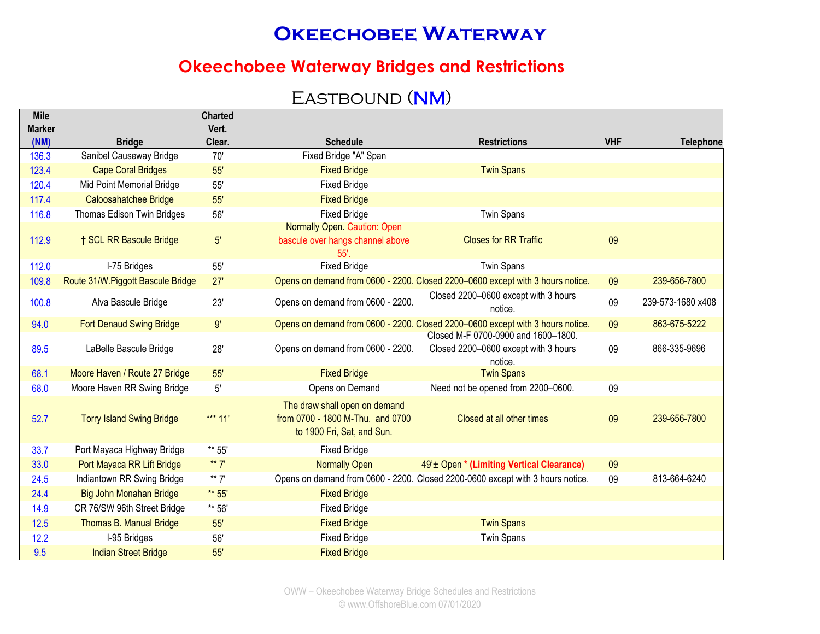### **Okeechobee Waterway Bridges and Restrictions**

## EASTBOUND (NM)

| <b>Mile</b>   |                                          | <b>Charted</b> |                                                                                                 |                                                                                        |            |                   |
|---------------|------------------------------------------|----------------|-------------------------------------------------------------------------------------------------|----------------------------------------------------------------------------------------|------------|-------------------|
| <b>Marker</b> |                                          | Vert.          |                                                                                                 |                                                                                        |            |                   |
| (NM)<br>136.3 | <b>Bridge</b><br>Sanibel Causeway Bridge | Clear.<br>70'  | <b>Schedule</b><br>Fixed Bridge "A" Span                                                        | <b>Restrictions</b>                                                                    | <b>VHF</b> | <b>Telephone</b>  |
|               |                                          |                |                                                                                                 |                                                                                        |            |                   |
| 123.4         | <b>Cape Coral Bridges</b>                | 55'            | <b>Fixed Bridge</b>                                                                             | <b>Twin Spans</b>                                                                      |            |                   |
| 120.4         | Mid Point Memorial Bridge                | 55'            | <b>Fixed Bridge</b>                                                                             |                                                                                        |            |                   |
| 117.4         | Caloosahatchee Bridge                    | 55'            | <b>Fixed Bridge</b>                                                                             |                                                                                        |            |                   |
| 116.8         | Thomas Edison Twin Bridges               | 56'            | <b>Fixed Bridge</b>                                                                             | <b>Twin Spans</b>                                                                      |            |                   |
| 112.9         | <b>† SCL RR Bascule Bridge</b>           | 5'             | <b>Normally Open. Caution: Open</b><br>bascule over hangs channel above<br>55'.                 | <b>Closes for RR Traffic</b>                                                           | 09         |                   |
| 112.0         | I-75 Bridges                             | 55'            | <b>Fixed Bridge</b>                                                                             | <b>Twin Spans</b>                                                                      |            |                   |
| 109.8         | Route 31/W. Piggott Bascule Bridge       | 27'            |                                                                                                 | Opens on demand from 0600 - 2200. Closed 2200-0600 except with 3 hours notice.         | 09         | 239-656-7800      |
| 100.8         | Alva Bascule Bridge                      | 23'            | Opens on demand from 0600 - 2200.                                                               | Closed 2200-0600 except with 3 hours<br>notice.                                        | 09         | 239-573-1680 x408 |
| 94.0          | <b>Fort Denaud Swing Bridge</b>          | 9'             |                                                                                                 | Opens on demand from 0600 - 2200. Closed 2200-0600 except with 3 hours notice.         | 09         | 863-675-5222      |
| 89.5          | LaBelle Bascule Bridge                   | 28'            | Opens on demand from 0600 - 2200.                                                               | Closed M-F 0700-0900 and 1600-1800.<br>Closed 2200-0600 except with 3 hours<br>notice. | 09         | 866-335-9696      |
| 68.1          | Moore Haven / Route 27 Bridge            | 55'            | <b>Fixed Bridge</b>                                                                             | <b>Twin Spans</b>                                                                      |            |                   |
| 68.0          | Moore Haven RR Swing Bridge              | $5'$           | Opens on Demand                                                                                 | Need not be opened from 2200-0600.                                                     | 09         |                   |
| 52.7          | <b>Torry Island Swing Bridge</b>         | *** 11'        | The draw shall open on demand<br>from 0700 - 1800 M-Thu. and 0700<br>to 1900 Fri, Sat, and Sun. | Closed at all other times                                                              | 09         | 239-656-7800      |
| 33.7          | Port Mayaca Highway Bridge               | ** 55'         | <b>Fixed Bridge</b>                                                                             |                                                                                        |            |                   |
| 33.0          | Port Mayaca RR Lift Bridge               | ** $7'$        | <b>Normally Open</b>                                                                            | 49' ± Open * (Limiting Vertical Clearance)                                             | 09         |                   |
| 24.5          | Indiantown RR Swing Bridge               | ** $7'$        |                                                                                                 | Opens on demand from 0600 - 2200. Closed 2200-0600 except with 3 hours notice.         | 09         | 813-664-6240      |
| 24.4          | Big John Monahan Bridge                  | ** 55'         | <b>Fixed Bridge</b>                                                                             |                                                                                        |            |                   |
| 14.9          | CR 76/SW 96th Street Bridge              | ** 56'         | <b>Fixed Bridge</b>                                                                             |                                                                                        |            |                   |
| 12.5          | Thomas B. Manual Bridge                  | 55'            | <b>Fixed Bridge</b>                                                                             | <b>Twin Spans</b>                                                                      |            |                   |
| 12.2          | I-95 Bridges                             | 56'            | <b>Fixed Bridge</b>                                                                             | <b>Twin Spans</b>                                                                      |            |                   |
| 9.5           | <b>Indian Street Bridge</b>              | 55'            | <b>Fixed Bridge</b>                                                                             |                                                                                        |            |                   |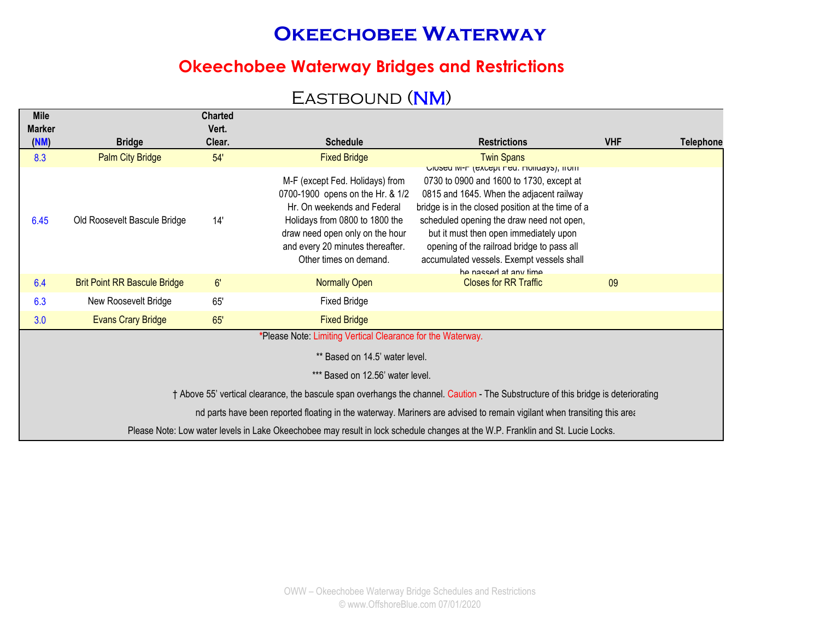### **Okeechobee Waterway Bridges and Restrictions**

## EASTBOUND (NM)

| <b>Mile</b><br><b>Marker</b> |                                     | <b>Charted</b><br>Vert. |                                                                                                                                                                                                                                       |                                                                                                                                                                                                                                                                                                                                                                                                     |            |                  |
|------------------------------|-------------------------------------|-------------------------|---------------------------------------------------------------------------------------------------------------------------------------------------------------------------------------------------------------------------------------|-----------------------------------------------------------------------------------------------------------------------------------------------------------------------------------------------------------------------------------------------------------------------------------------------------------------------------------------------------------------------------------------------------|------------|------------------|
| (NM)                         | <b>Bridge</b>                       | Clear.                  | <b>Schedule</b>                                                                                                                                                                                                                       | <b>Restrictions</b>                                                                                                                                                                                                                                                                                                                                                                                 | <b>VHF</b> | <b>Telephone</b> |
| 8.3                          | <b>Palm City Bridge</b>             | 54'                     | <b>Fixed Bridge</b>                                                                                                                                                                                                                   | <b>Twin Spans</b>                                                                                                                                                                                                                                                                                                                                                                                   |            |                  |
| 6.45                         | Old Roosevelt Bascule Bridge        | 14'                     | M-F (except Fed. Holidays) from<br>0700-1900 opens on the Hr. & 1/2<br>Hr. On weekends and Federal<br>Holidays from 0800 to 1800 the<br>draw need open only on the hour<br>and every 20 minutes thereafter.<br>Other times on demand. | Ulused IVI-F (except Fed. Holldays), ITOITI<br>0730 to 0900 and 1600 to 1730, except at<br>0815 and 1645. When the adjacent railway<br>bridge is in the closed position at the time of a<br>scheduled opening the draw need not open,<br>but it must then open immediately upon<br>opening of the railroad bridge to pass all<br>accumulated vessels. Exempt vessels shall<br>he nacced at any time |            |                  |
| 6.4                          | <b>Brit Point RR Bascule Bridge</b> | 6'                      | <b>Normally Open</b>                                                                                                                                                                                                                  | <b>Closes for RR Traffic</b>                                                                                                                                                                                                                                                                                                                                                                        | 09         |                  |
| 6.3                          | New Roosevelt Bridge                | 65'                     | <b>Fixed Bridge</b>                                                                                                                                                                                                                   |                                                                                                                                                                                                                                                                                                                                                                                                     |            |                  |
| 3.0                          | <b>Evans Crary Bridge</b>           | 65'                     | <b>Fixed Bridge</b>                                                                                                                                                                                                                   |                                                                                                                                                                                                                                                                                                                                                                                                     |            |                  |
|                              |                                     |                         | *Please Note: Limiting Vertical Clearance for the Waterway.                                                                                                                                                                           |                                                                                                                                                                                                                                                                                                                                                                                                     |            |                  |
|                              |                                     |                         | ** Based on 14.5' water level.                                                                                                                                                                                                        |                                                                                                                                                                                                                                                                                                                                                                                                     |            |                  |
|                              |                                     |                         | *** Based on 12.56' water level.                                                                                                                                                                                                      |                                                                                                                                                                                                                                                                                                                                                                                                     |            |                  |
|                              |                                     |                         |                                                                                                                                                                                                                                       | † Above 55' vertical clearance, the bascule span overhangs the channel. Caution - The Substructure of this bridge is deteriorating                                                                                                                                                                                                                                                                  |            |                  |
|                              |                                     |                         |                                                                                                                                                                                                                                       | nd parts have been reported floating in the waterway. Mariners are advised to remain vigilant when transiting this area                                                                                                                                                                                                                                                                             |            |                  |
|                              |                                     |                         |                                                                                                                                                                                                                                       | Please Note: Low water levels in Lake Okeechobee may result in lock schedule changes at the W.P. Franklin and St. Lucie Locks.                                                                                                                                                                                                                                                                      |            |                  |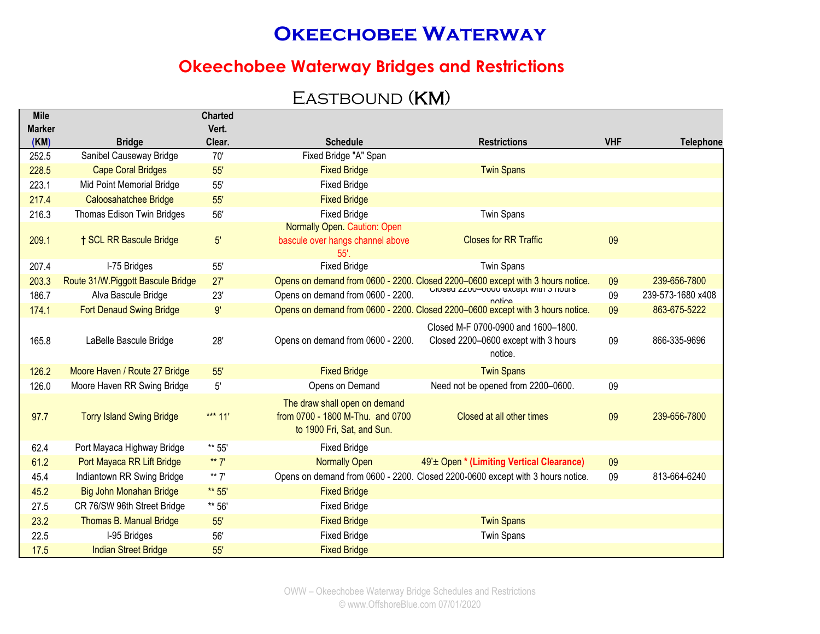### **Okeechobee Waterway Bridges and Restrictions**

## EASTBOUND (KM)

| <b>Mile</b>           |                                   | <b>Charted</b>  |                                                                                                 |                                                                                        |            |                   |
|-----------------------|-----------------------------------|-----------------|-------------------------------------------------------------------------------------------------|----------------------------------------------------------------------------------------|------------|-------------------|
| <b>Marker</b><br>(KM) | <b>Bridge</b>                     | Vert.<br>Clear. | <b>Schedule</b>                                                                                 | <b>Restrictions</b>                                                                    | <b>VHF</b> | <b>Telephone</b>  |
| 252.5                 | Sanibel Causeway Bridge           | 70'             | Fixed Bridge "A" Span                                                                           |                                                                                        |            |                   |
| 228.5                 | <b>Cape Coral Bridges</b>         | 55'             | <b>Fixed Bridge</b>                                                                             | <b>Twin Spans</b>                                                                      |            |                   |
| 223.1                 | Mid Point Memorial Bridge         | 55'             | <b>Fixed Bridge</b>                                                                             |                                                                                        |            |                   |
| 217.4                 | Caloosahatchee Bridge             | 55'             | <b>Fixed Bridge</b>                                                                             |                                                                                        |            |                   |
| 216.3                 | Thomas Edison Twin Bridges        | 56'             | <b>Fixed Bridge</b>                                                                             | <b>Twin Spans</b>                                                                      |            |                   |
|                       |                                   |                 | <b>Normally Open. Caution: Open</b>                                                             |                                                                                        |            |                   |
| 209.1                 | <b>† SCL RR Bascule Bridge</b>    | $5^{\circ}$     | bascule over hangs channel above<br>55'.                                                        | <b>Closes for RR Traffic</b>                                                           | 09         |                   |
| 207.4                 | I-75 Bridges                      | 55'             | <b>Fixed Bridge</b>                                                                             | <b>Twin Spans</b>                                                                      |            |                   |
| 203.3                 | Route 31/W.Piggott Bascule Bridge | 27'             |                                                                                                 | Opens on demand from 0600 - 2200. Closed 2200-0600 except with 3 hours notice.         | 09         | 239-656-7800      |
| 186.7                 | Alva Bascule Bridge               | 23'             | Opens on demand from 0600 - 2200.                                                               | UIUSEU ZZUU-UOUU EXCEPI WIIII J HUUIS<br>notice                                        | 09         | 239-573-1680 x408 |
| 174.1                 | Fort Denaud Swing Bridge          | 9'              |                                                                                                 | Opens on demand from 0600 - 2200. Closed 2200-0600 except with 3 hours notice.         | 09         | 863-675-5222      |
| 165.8                 | LaBelle Bascule Bridge            | 28'             | Opens on demand from 0600 - 2200.                                                               | Closed M-F 0700-0900 and 1600-1800.<br>Closed 2200-0600 except with 3 hours<br>notice. | 09         | 866-335-9696      |
| 126.2                 | Moore Haven / Route 27 Bridge     | 55'             | <b>Fixed Bridge</b>                                                                             | <b>Twin Spans</b>                                                                      |            |                   |
| 126.0                 | Moore Haven RR Swing Bridge       | 5'              | Opens on Demand                                                                                 | Need not be opened from 2200-0600.                                                     | 09         |                   |
| 97.7                  | <b>Torry Island Swing Bridge</b>  | *** $11'$       | The draw shall open on demand<br>from 0700 - 1800 M-Thu. and 0700<br>to 1900 Fri, Sat, and Sun. | Closed at all other times                                                              | 09         | 239-656-7800      |
| 62.4                  | Port Mayaca Highway Bridge        | ** 55'          | <b>Fixed Bridge</b>                                                                             |                                                                                        |            |                   |
| 61.2                  | Port Mayaca RR Lift Bridge        | ** $7'$         | <b>Normally Open</b>                                                                            | 49' ± Open * (Limiting Vertical Clearance)                                             | 09         |                   |
| 45.4                  | Indiantown RR Swing Bridge        | ** $7'$         |                                                                                                 | Opens on demand from 0600 - 2200. Closed 2200-0600 except with 3 hours notice.         | 09         | 813-664-6240      |
| 45.2                  | Big John Monahan Bridge           | ** 55'          | <b>Fixed Bridge</b>                                                                             |                                                                                        |            |                   |
| 27.5                  | CR 76/SW 96th Street Bridge       | ** 56'          | <b>Fixed Bridge</b>                                                                             |                                                                                        |            |                   |
| 23.2                  | Thomas B. Manual Bridge           | 55'             | <b>Fixed Bridge</b>                                                                             | <b>Twin Spans</b>                                                                      |            |                   |
| 22.5                  | I-95 Bridges                      | 56'             | <b>Fixed Bridge</b>                                                                             | <b>Twin Spans</b>                                                                      |            |                   |
| 17.5                  | <b>Indian Street Bridge</b>       | 55'             | <b>Fixed Bridge</b>                                                                             |                                                                                        |            |                   |